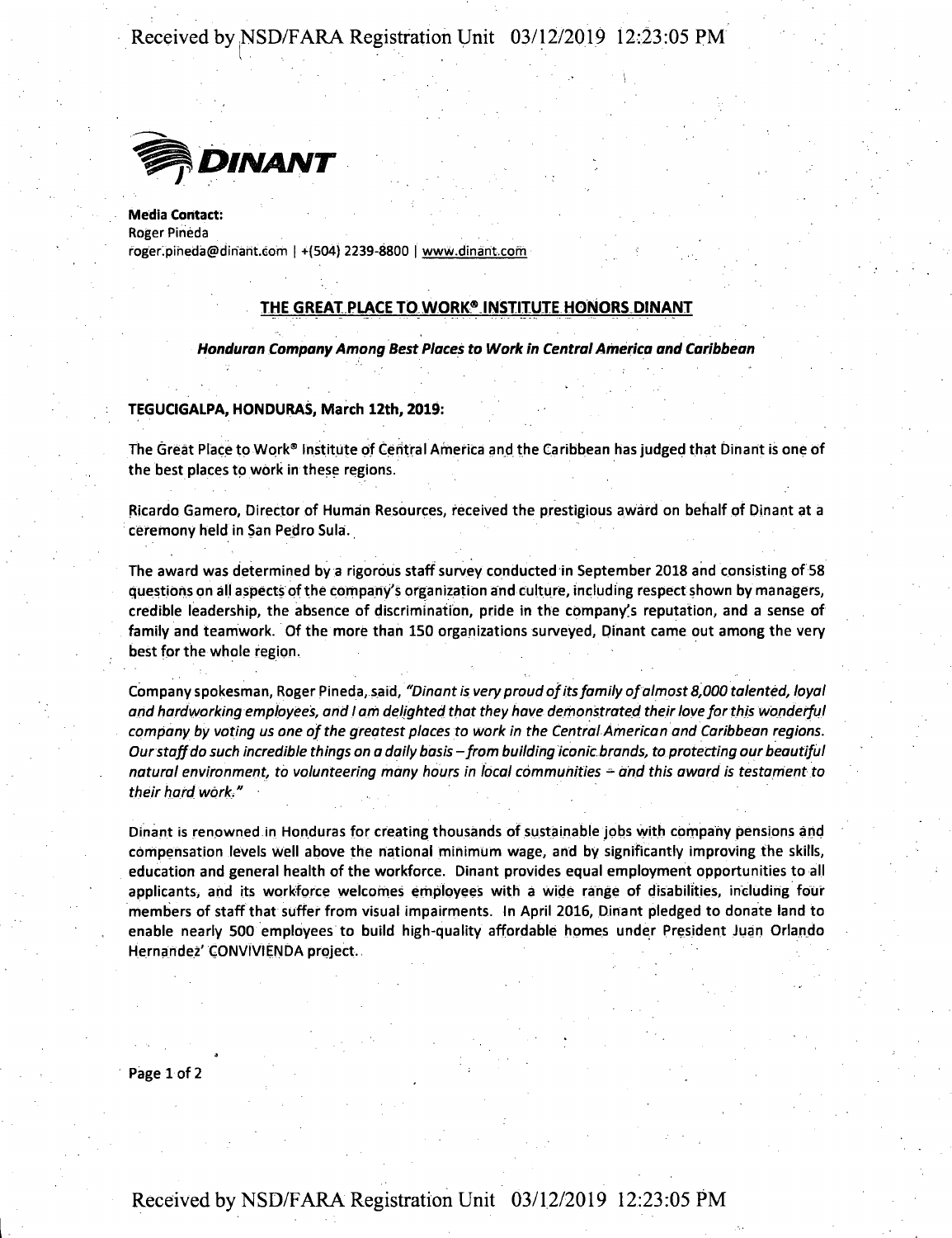**Received by NSD/FARA Registration Unit 03/12/2019 12:23:05 PM**



Media Contact: Roger Pineda **roBer.Diheda@diharit.Gom** <sup>I</sup> +(504) 2239-8800 <sup>I</sup> **www.dinarit.com**

## **THE GREAT PLACE TQ WORIC9 INSTITUTE HONORS DINANT**

*Honduran CompanyAmong Best Places to Work in CentralAmerica and Caribbean*

### **TEGUCIGALPA, HONDURAS, March 12th, 2019:**

The Great Place to Work® Institute of Central America and the Caribbean has judged that Dinant is one of the best places to work in these regions.

Ricardo Gamero, Director of Human Resources, received the prestigious award on behalf of Dinant at a ceremony held in San Pedro Sula.

The award was determined by a rigorous staff survey conducted in September 2018 and consisting of 58 questions on all aspects ofthe company's organization and culture, including respect shown by managers, credible leadership, the absence of discrimination, pride in the company's reputation, and a sense of family and teamwork. Of the more than 150 organizations surveyed, Dinant came out among the very best for the whole region.

Company spokesman, Roger Pineda, said, *"Dinant is very proud ofitsfamily ofalmost 8,000 talented, loyal and hardworking employees, and <sup>I</sup> am delighted that they have demonstrated theirlove forthis wonderful company by voting us one ofthe greatest places to work in the Central American and Caribbean regions. Ourstaffdo such incredible things on a daily basis-from building iconic brands, to protecting our beautiful natural environment, to volunteering many hours in local communities* - *and this award is testament to their hard work,"*

Dinant is renowned in Honduras for creating thousands of sustainable jobs with company pensions and compensation levels well above the national minimum wage, and by significantly improving the skills, education and general health of the workforce. Dinant provides equal employment opportunities to all applicants) and its workforce welcomes employees with a wide range of disabilities, including four members of staff that suffer from visual impairments. In April 2016, Dinant pledged to donate land to enable nearly 500 employees to build high-quality affordable homes under President Juan Orlando Hernandez'GONVIVIENDA project.

Page 1 of 2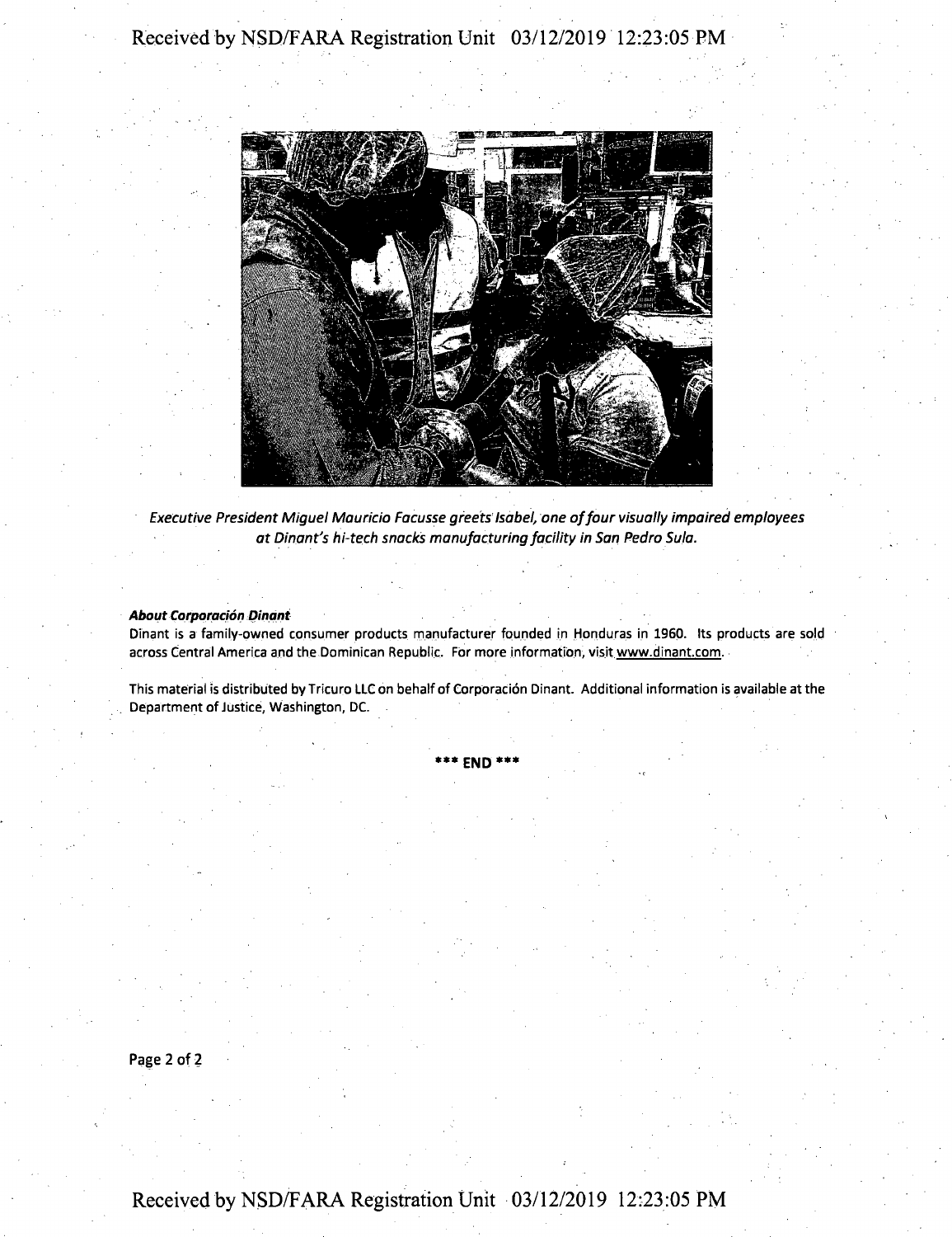

*Executive President Miguel Mauricio Facusse greets Isabel, one offour visually impaired employees at Dinant's hi-tech snacks manufacturing facility in San Pedro Sula.*

*About Corporacion Dinant*

Dinant is a family-owned consumer products manufacturer founded in Honduras in I960. Its products are sold across Central America and the Dominican Republic. For more information, visit www.dinant.com.

This material is distributed by Tricuro LLCon behalf of Corporacion Dinant. Additional information is available at the Department of Justice, Washington, DC.

**\*\*\* END \*\*\***

Page 2 of 2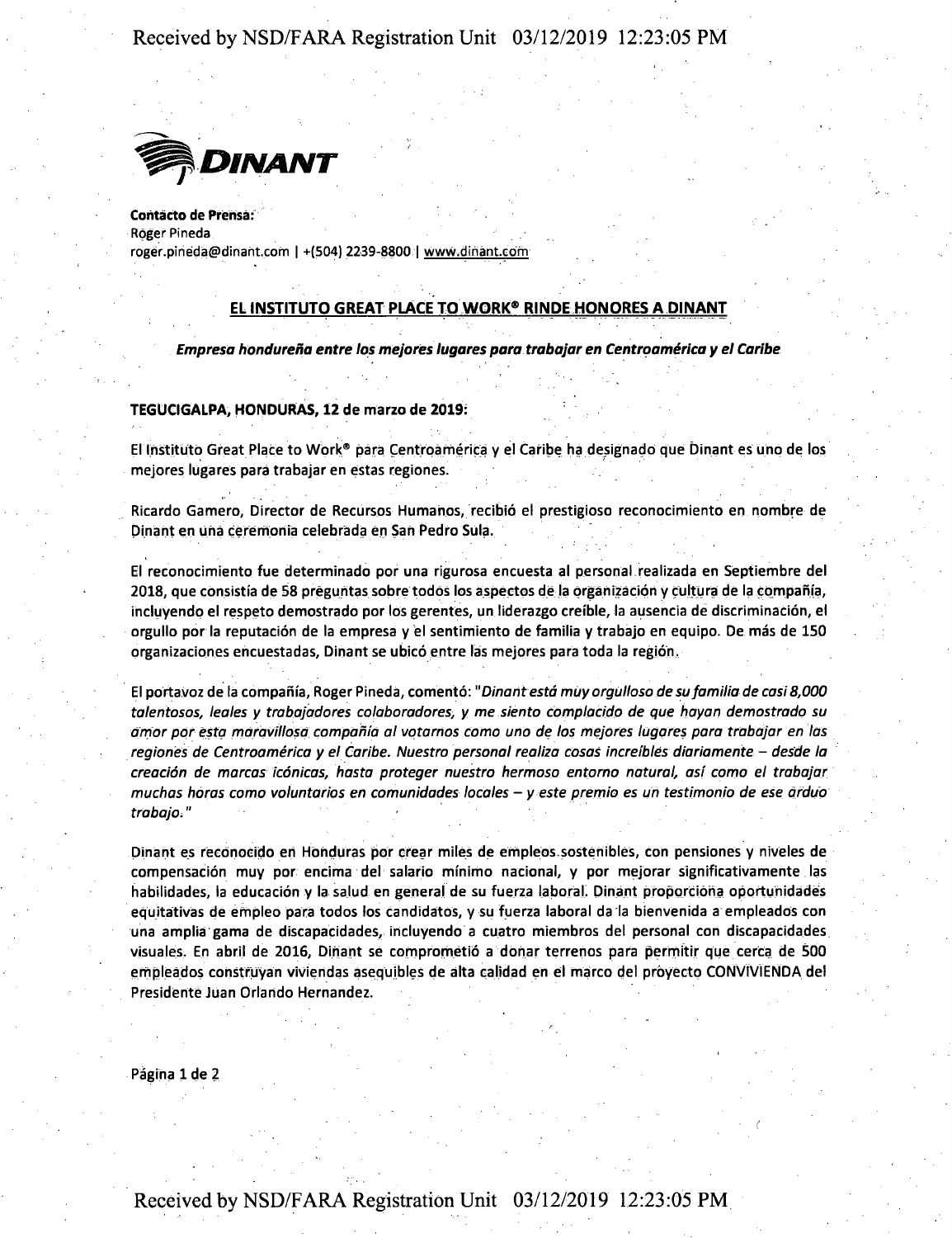## **Received by NSD/FARA Registration Unit 03/12/2019 12:23:05 PM**



Contacto de Prensa: **Roger Pineda rpger.pineda@dinaht.com <sup>|</sup> +(504) 2239-8800 <sup>|</sup> www.dinant.com**

## **EL INSTITUTO GREAT PLACE TO WORK8 RINDE HONORES A DINANT**

*Empresa hondurena entre los mejores lugares para trabajar en Centroamerica y el Caribe*

#### **TEGUCIGALPA, HONDURAS, 12 de marzo de 2019:**

El Institute) Great Place to Work® para Centroamerica y el Caribe ha designado que Dinant es uno de los mejores lugares para trabajar en estas regiones.

Ricardo Gamero, Director de Recursos Humanos, recibio el prestigioso reconocimiento en nombre de Dinant en una ceremonia celebrada en San Pedro Sula.

El reconocimiento fue determinado por una rigurosa encuesta al personal realizada en Septiembre del 2018, que consistia de 58 preguntas sobre todos los aspectos de la organization y cultura de la compania, incluyendo el respeto demostrado por los gerentes, un liderazgo creible, la ausencia de discrimination, el orgullo por la reputation de la empresa y el sentimiento de familia y trabajo en equipo. De mas de 150 organizaciones encuestadas, Dinant se ubico entre las mejores para toda la region.

El portavoz de la compania, Roger Pineda, comento: *"Dinant esta muy orgUlloso de sufamilia de casi8,000 talentosos, leales y trabajadores colaboradores, y me siento compiacido de que hayan demostrado su amor por esta maravillosa compania al votamos como uno de los mejores lugares para trabajar en las regiones de Centroamerica <sup>y</sup> el Caribe. Nuestro personal realiza cosas increlbles diariamente - desde la creacion de marcas iconicas, hasta proteger nuestro hermoso entorno natural, asi como el trabajar muchas boras como voluntaries en comunidades locales - <sup>y</sup> este premio es un testimonio de ese arduo trabajo."*

Dinant es reconocido en Honduras por crear miles de empleos sostenibles, con pensiones y niveles de compensacion muy por encima del salario minimo nacional, y por mejorar significativamente las habilidades, la educacion y la salud en general de su fuerza laboral. Dinant proporciona oportunidades equitativas de empleo para todos los candidatos, y su fuerza laboral da la bienvenida a empleados con una amplia gama de discapacidades, incluyendo a cuatro miembros del personal con discapacidades visuales. En abril de 2016, Dinant se comprometio a donar terrenos para permitir que cerca de 500 empleados construyan viviendas asequibles de alta calidad en el marco del proyecto CONVIVIENDA del Presidente Juan Orlando Hernandez.

Página 1 de 2